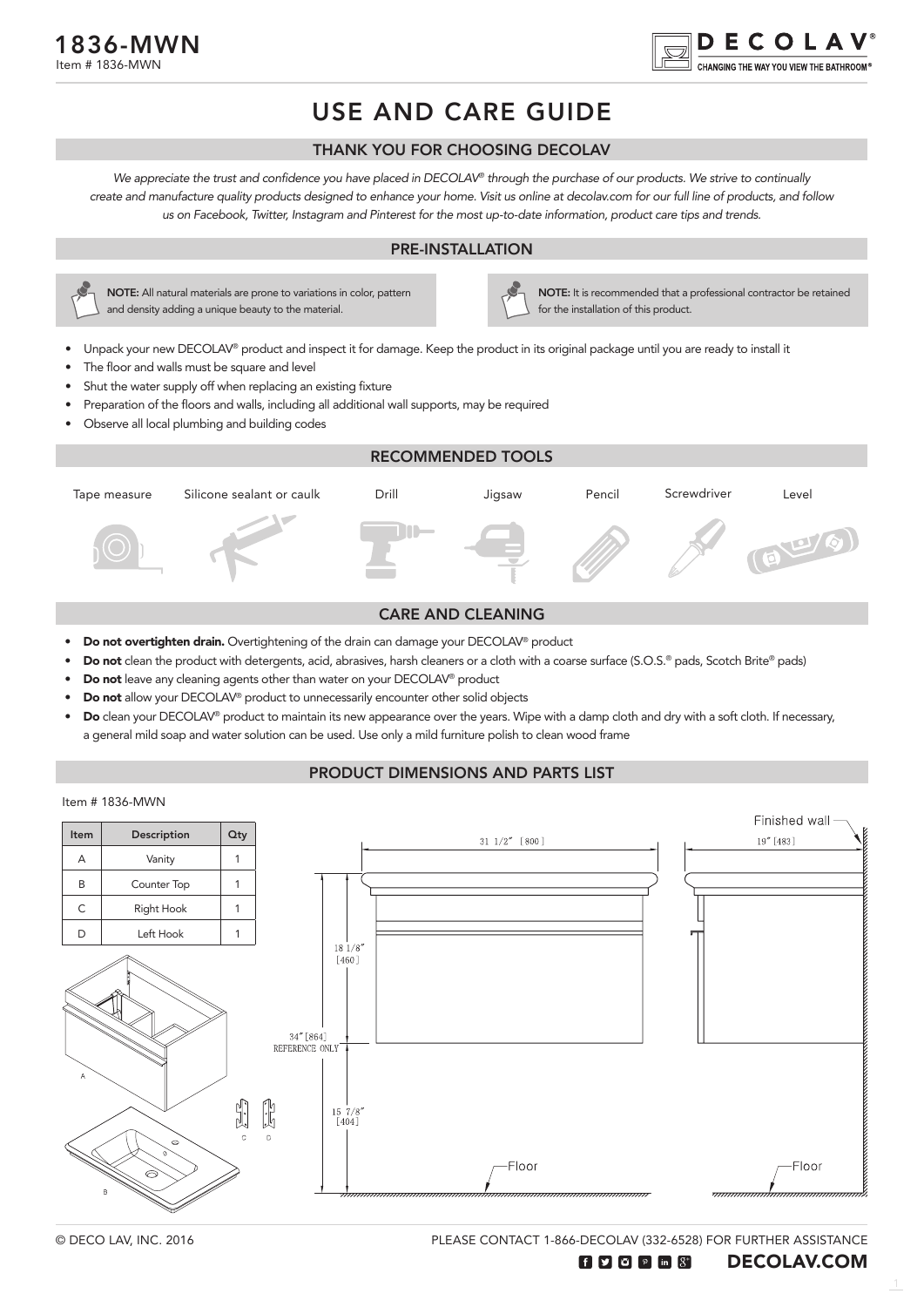

# USE AND CARE GUIDE

#### THANK YOU FOR CHOOSING DECOLAV

We appreciate the trust and confidence you have placed in DECOLAV*®* through the purchase of our products. We strive to continually create and manufacture quality products designed to enhance your home. Visit us online at decolav.com for our full line of products, and follow us on Facebook, Twitter, Instagram and Pinterest for the most up-to-date information, product care tips and trends.

#### PRE-INSTALLATION



NOTE: All natural materials are prone to variations in color, pattern and density adding a unique beauty to the material.

NOTE: It is recommended that a professional contractor be retained for the installation of this product.

- Unpack your new DECOLAV® product and inspect it for damage. Keep the product in its original package until you are ready to install it
- The floor and walls must be square and level
- Shut the water supply off when replacing an existing fixture
- Preparation of the floors and walls, including all additional wall supports, may be required
- Observe all local plumbing and building codes



#### CARE AND CLEANING

- Do not overtighten drain. Overtightening of the drain can damage your DECOLAV® product
- Do not clean the product with detergents, acid, abrasives, harsh cleaners or a cloth with a coarse surface (S.O.S.® pads, Scotch Brite® pads)
- Do not leave any cleaning agents other than water on your DECOLAV® product
- Do not allow your DECOLAV<sup>®</sup> product to unnecessarily encounter other solid objects
- Do clean your DECOLAV® product to maintain its new appearance over the years. Wipe with a damp cloth and dry with a soft cloth. If necessary, a general mild soap and water solution can be used. Use only a mild furniture polish to clean wood frame

## PRODUCT DIMENSIONS AND PARTS LIST

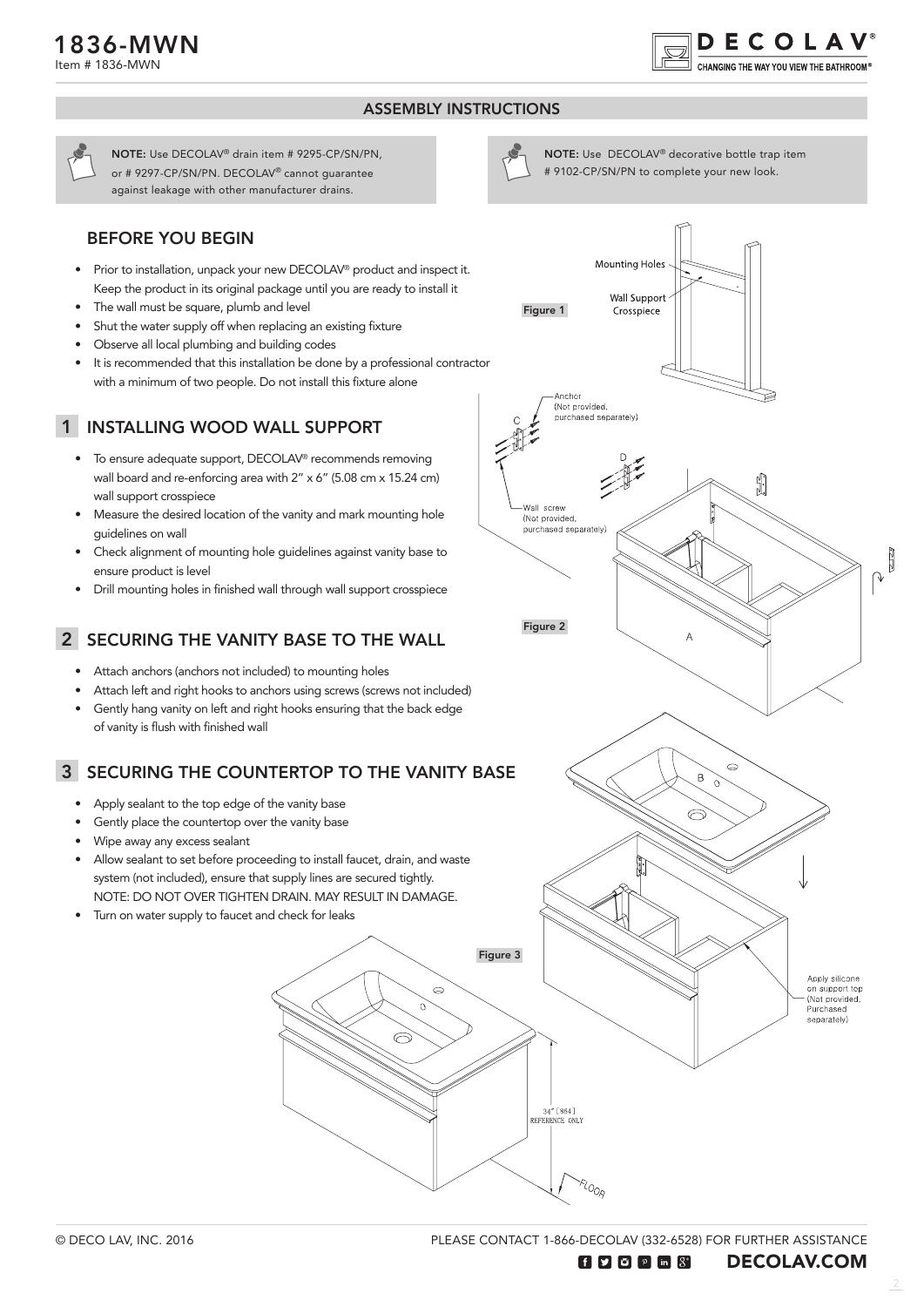

NOTE: Use DECOLAV® decorative bottle trap item # 9102-CP/SN/PN to complete your new look.

**Mounting Holes** 

**Wall Support** Crosspiece

### ASSEMBLY INSTRUCTIONS

Figure 1

NOTE: Use DECOLAV® drain item # 9295-CP/SN/PN, or # 9297-CP/SN/PN. DECOLAV® cannot guarantee against leakage with other manufacturer drains.

## BEFORE YOU BEGIN

- Prior to installation, unpack your new DECOLAV® product and inspect it. Keep the product in its original package until you are ready to install it
- The wall must be square, plumb and level
- Shut the water supply off when replacing an existing fixture
- Observe all local plumbing and building codes
- It is recommended that this installation be done by a professional contractor with a minimum of two people. Do not install this fixture alone

## 1 INSTALLING WOOD WALL SUPPORT

- To ensure adequate support, DECOLAV® recommends removing wall board and re-enforcing area with 2" x 6" (5.08 cm x 15.24 cm) wall support crosspiece
- Measure the desired location of the vanity and mark mounting hole guidelines on wall
- Check alignment of mounting hole guidelines against vanity base to ensure product is level
- Drill mounting holes in finished wall through wall support crosspiece

## 2 SECURING THE VANITY BASE TO THE WALL

- Attach anchors (anchors not included) to mounting holes
- Attach left and right hooks to anchors using screws (screws not included)
- Gently hang vanity on left and right hooks ensuring that the back edge of vanity is flush with finished wall

## SECURING THE COUNTERTOP TO THE VANITY BASE 3

- Apply sealant to the top edge of the vanity base
- Gently place the countertop over the vanity base
- Wipe away any excess sealant
- Allow sealant to set before proceeding to install faucet, drain, and waste system (not included), ensure that supply lines are secured tightly. NOTE: DO NOT OVER TIGHTEN DRAIN. MAY RESULT IN DAMAGE.
- Turn on water supply to faucet and check for leaks

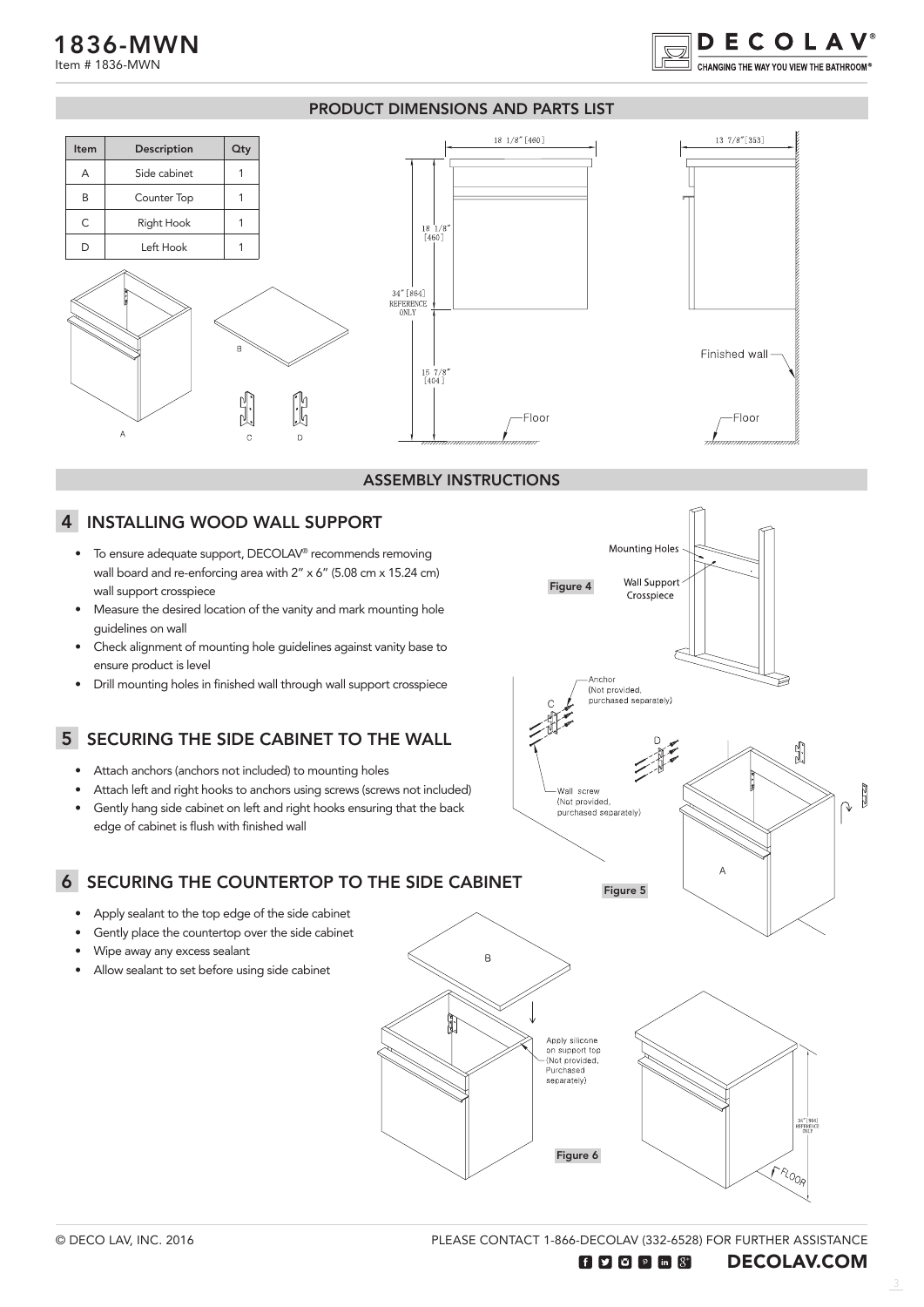Item # 1836-MWN

#### PRODUCT DIMENSIONS AND PARTS LIST



#### ASSEMBLY INSTRUCTIONS

#### INSTALLING WOOD WALL SUPPORT 4

- To ensure adequate support, DECOLAV® recommends removing wall board and re-enforcing area with 2" x 6" (5.08 cm x 15.24 cm) wall support crosspiece
- Measure the desired location of the vanity and mark mounting hole guidelines on wall
- Check alignment of mounting hole guidelines against vanity base to ensure product is level
- Drill mounting holes in finished wall through wall support crosspiece

## 5 SECURING THE SIDE CABINET TO THE WALL

- Attach anchors (anchors not included) to mounting holes
- Attach left and right hooks to anchors using screws (screws not included)
- Gently hang side cabinet on left and right hooks ensuring that the back edge of cabinet is flush with finished wall

## **6 SECURING THE COUNTERTOP TO THE SIDE CABINET**

- Apply sealant to the top edge of the side cabinet
- Gently place the countertop over the side cabinet
- Wipe away any excess sealant
- Allow sealant to set before using side cabinet



Mounting Holes

**DECOLAV**<sup>®</sup> **HANGING THE WAY YOU VIEW THE BATHROOM®** 

PLEASE CONTACT 1-866-DECOLAV (332-6528) FOR FURTHER ASSISTANCE  $\textbf{H}$   $\textbf{V}$   $\textbf{O}$   $\textbf{P}$  in  $\textbf{S}^*$ DECOLAV.COM